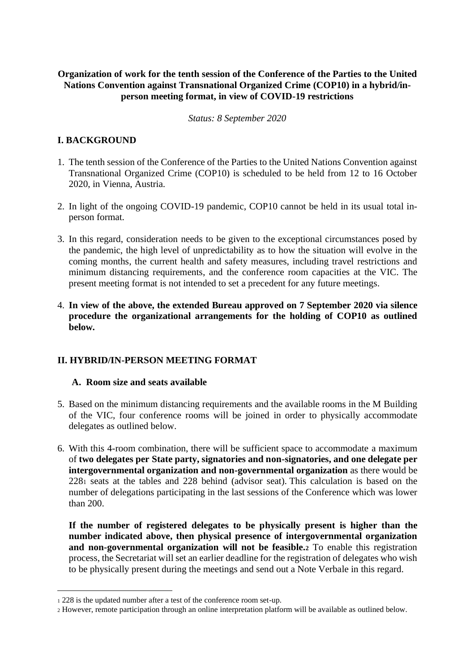### **Organization of work for the tenth session of the Conference of the Parties to the United Nations Convention against Transnational Organized Crime (COP10) in a hybrid/inperson meeting format, in view of COVID-19 restrictions**

#### *Status: 8 September 2020*

## **I. BACKGROUND**

- 1. The tenth session of the Conference of the Parties to the United Nations Convention against Transnational Organized Crime (COP10) is scheduled to be held from 12 to 16 October 2020, in Vienna, Austria.
- 2. In light of the ongoing COVID-19 pandemic, COP10 cannot be held in its usual total inperson format.
- 3. In this regard, consideration needs to be given to the exceptional circumstances posed by the pandemic, the high level of unpredictability as to how the situation will evolve in the coming months, the current health and safety measures, including travel restrictions and minimum distancing requirements, and the conference room capacities at the VIC. The present meeting format is not intended to set a precedent for any future meetings.
- 4. **In view of the above, the extended Bureau approved on 7 September 2020 via silence procedure the organizational arrangements for the holding of COP10 as outlined below.**

# **II. HYBRID/IN-PERSON MEETING FORMAT**

#### **A. Room size and seats available**

- 5. Based on the minimum distancing requirements and the available rooms in the M Building of the VIC, four conference rooms will be joined in order to physically accommodate delegates as outlined below.
- 6. With this 4-room combination, there will be sufficient space to accommodate a maximum of **two delegates per State party, signatories and non-signatories, and one delegate per intergovernmental organization and non-governmental organization** as there would be 228<sup>1</sup> seats at the tables and 228 behind (advisor seat). This calculation is based on the number of delegations participating in the last sessions of the Conference which was lower than 200.

**If the number of registered delegates to be physically present is higher than the number indicated above, then physical presence of intergovernmental organization and non-governmental organization will not be feasible.<sup>2</sup>** To enable this registration process, the Secretariat will set an earlier deadline for the registration of delegates who wish to be physically present during the meetings and send out a Note Verbale in this regard.

<sup>1</sup> 228 is the updated number after a test of the conference room set-up.

<sup>2</sup> However, remote participation through an online interpretation platform will be available as outlined below.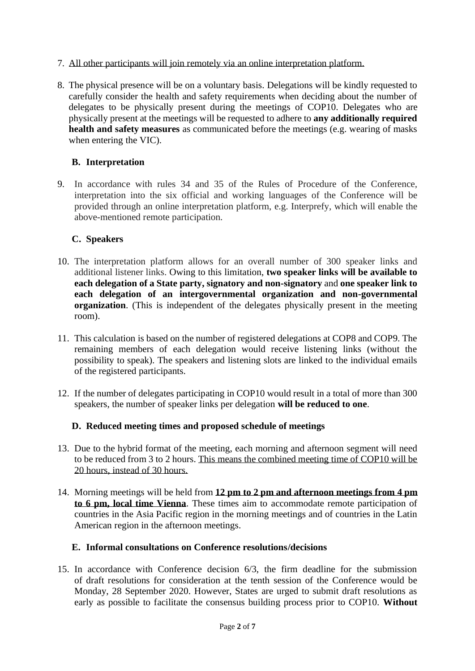- 7. All other participants will join remotely via an online interpretation platform.
- 8. The physical presence will be on a voluntary basis. Delegations will be kindly requested to carefully consider the health and safety requirements when deciding about the number of delegates to be physically present during the meetings of COP10. Delegates who are physically present at the meetings will be requested to adhere to **any additionally required health and safety measures** as communicated before the meetings (e.g. wearing of masks) when entering the VIC).

## **B. Interpretation**

9. In accordance with rules 34 and 35 of the Rules of Procedure of the Conference, interpretation into the six official and working languages of the Conference will be provided through an online interpretation platform, e.g. Interprefy, which will enable the above-mentioned remote participation.

## **C. Speakers**

- 10. The interpretation platform allows for an overall number of 300 speaker links and additional listener links. Owing to this limitation, **two speaker links will be available to each delegation of a State party, signatory and non-signatory** and **one speaker link to each delegation of an intergovernmental organization and non-governmental organization**. (This is independent of the delegates physically present in the meeting room).
- 11. This calculation is based on the number of registered delegations at COP8 and COP9. The remaining members of each delegation would receive listening links (without the possibility to speak). The speakers and listening slots are linked to the individual emails of the registered participants.
- 12. If the number of delegates participating in COP10 would result in a total of more than 300 speakers, the number of speaker links per delegation **will be reduced to one**.

#### **D. Reduced meeting times and proposed schedule of meetings**

- 13. Due to the hybrid format of the meeting, each morning and afternoon segment will need to be reduced from 3 to 2 hours. This means the combined meeting time of COP10 will be 20 hours, instead of 30 hours.
- 14. Morning meetings will be held from **12 pm to 2 pm and afternoon meetings from 4 pm to 6 pm, local time Vienna**. These times aim to accommodate remote participation of countries in the Asia Pacific region in the morning meetings and of countries in the Latin American region in the afternoon meetings.

#### **E. Informal consultations on Conference resolutions/decisions**

15. In accordance with Conference decision 6/3, the firm deadline for the submission of draft resolutions for consideration at the tenth session of the Conference would be Monday, 28 September 2020. However, States are urged to submit draft resolutions as early as possible to facilitate the consensus building process prior to COP10. **Without**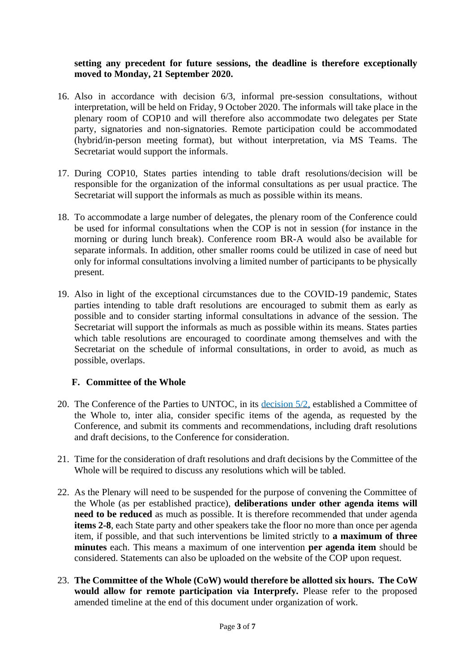#### **setting any precedent for future sessions, the deadline is therefore exceptionally moved to Monday, 21 September 2020.**

- 16. Also in accordance with decision 6/3, informal pre-session consultations, without interpretation, will be held on Friday, 9 October 2020. The informals will take place in the plenary room of COP10 and will therefore also accommodate two delegates per State party, signatories and non-signatories. Remote participation could be accommodated (hybrid/in-person meeting format), but without interpretation, via MS Teams. The Secretariat would support the informals.
- 17. During COP10, States parties intending to table draft resolutions/decision will be responsible for the organization of the informal consultations as per usual practice. The Secretariat will support the informals as much as possible within its means.
- 18. To accommodate a large number of delegates, the plenary room of the Conference could be used for informal consultations when the COP is not in session (for instance in the morning or during lunch break). Conference room BR-A would also be available for separate informals. In addition, other smaller rooms could be utilized in case of need but only for informal consultations involving a limited number of participants to be physically present.
- 19. Also in light of the exceptional circumstances due to the COVID-19 pandemic, States parties intending to table draft resolutions are encouraged to submit them as early as possible and to consider starting informal consultations in advance of the session. The Secretariat will support the informals as much as possible within its means. States parties which table resolutions are encouraged to coordinate among themselves and with the Secretariat on the schedule of informal consultations, in order to avoid, as much as possible, overlaps.

#### **F. Committee of the Whole**

- 20. The Conference of the Parties to UNTOC, in its [decision 5/2,](https://www.unodc.org/documents/organized-crime/COP_5_Resolutions/Decision_5_2.pdf) established a Committee of the Whole to, inter alia, consider specific items of the agenda, as requested by the Conference, and submit its comments and recommendations, including draft resolutions and draft decisions, to the Conference for consideration.
- 21. Time for the consideration of draft resolutions and draft decisions by the Committee of the Whole will be required to discuss any resolutions which will be tabled.
- 22. As the Plenary will need to be suspended for the purpose of convening the Committee of the Whole (as per established practice), **deliberations under other agenda items will need to be reduced** as much as possible. It is therefore recommended that under agenda **items 2-8**, each State party and other speakers take the floor no more than once per agenda item, if possible, and that such interventions be limited strictly to **a maximum of three minutes** each. This means a maximum of one intervention **per agenda item** should be considered. Statements can also be uploaded on the website of the COP upon request.
- 23. **The Committee of the Whole (CoW) would therefore be allotted six hours. The CoW would allow for remote participation via Interprefy.** Please refer to the proposed amended timeline at the end of this document under organization of work.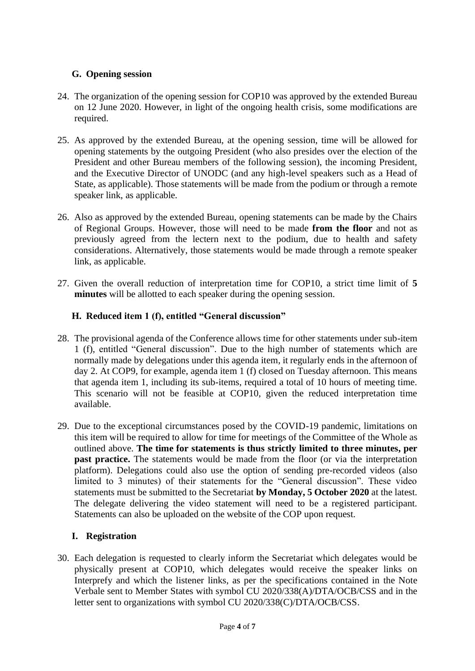## **G. Opening session**

- 24. The organization of the opening session for COP10 was approved by the extended Bureau on 12 June 2020. However, in light of the ongoing health crisis, some modifications are required.
- 25. As approved by the extended Bureau, at the opening session, time will be allowed for opening statements by the outgoing President (who also presides over the election of the President and other Bureau members of the following session), the incoming President, and the Executive Director of UNODC (and any high-level speakers such as a Head of State, as applicable). Those statements will be made from the podium or through a remote speaker link, as applicable.
- 26. Also as approved by the extended Bureau, opening statements can be made by the Chairs of Regional Groups. However, those will need to be made **from the floor** and not as previously agreed from the lectern next to the podium, due to health and safety considerations. Alternatively, those statements would be made through a remote speaker link, as applicable.
- 27. Given the overall reduction of interpretation time for COP10, a strict time limit of **5 minutes** will be allotted to each speaker during the opening session.

## **H. Reduced item 1 (f), entitled "General discussion"**

- 28. The provisional agenda of the Conference allows time for other statements under sub-item 1 (f), entitled "General discussion". Due to the high number of statements which are normally made by delegations under this agenda item, it regularly ends in the afternoon of day 2. At COP9, for example, agenda item 1 (f) closed on Tuesday afternoon. This means that agenda item 1, including its sub-items, required a total of 10 hours of meeting time. This scenario will not be feasible at COP10, given the reduced interpretation time available.
- 29. Due to the exceptional circumstances posed by the COVID-19 pandemic, limitations on this item will be required to allow for time for meetings of the Committee of the Whole as outlined above. **The time for statements is thus strictly limited to three minutes, per past practice.** The statements would be made from the floor (or via the interpretation platform). Delegations could also use the option of sending pre-recorded videos (also limited to 3 minutes) of their statements for the "General discussion". These video statements must be submitted to the Secretariat **by Monday, 5 October 2020** at the latest. The delegate delivering the video statement will need to be a registered participant. Statements can also be uploaded on the website of the COP upon request.

#### **I. Registration**

30. Each delegation is requested to clearly inform the Secretariat which delegates would be physically present at COP10, which delegates would receive the speaker links on Interprefy and which the listener links, as per the specifications contained in the Note Verbale sent to Member States with symbol CU 2020/338(A)/DTA/OCB/CSS and in the letter sent to organizations with symbol CU 2020/338(C)/DTA/OCB/CSS.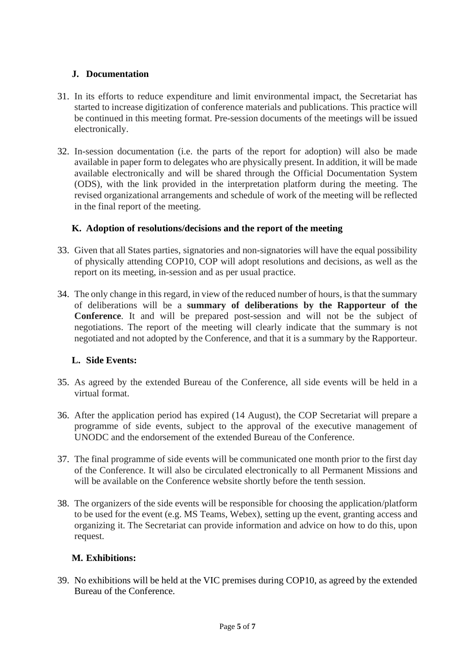## **J. Documentation**

- 31. In its efforts to reduce expenditure and limit environmental impact, the Secretariat has started to increase digitization of conference materials and publications. This practice will be continued in this meeting format. Pre-session documents of the meetings will be issued electronically.
- 32. In-session documentation (i.e. the parts of the report for adoption) will also be made available in paper form to delegates who are physically present. In addition, it will be made available electronically and will be shared through the Official Documentation System (ODS), with the link provided in the interpretation platform during the meeting. The revised organizational arrangements and schedule of work of the meeting will be reflected in the final report of the meeting.

## **K. Adoption of resolutions/decisions and the report of the meeting**

- 33. Given that all States parties, signatories and non-signatories will have the equal possibility of physically attending COP10, COP will adopt resolutions and decisions, as well as the report on its meeting, in-session and as per usual practice.
- 34. The only change in this regard, in view of the reduced number of hours, is that the summary of deliberations will be a **summary of deliberations by the Rapporteur of the Conference**. It and will be prepared post-session and will not be the subject of negotiations. The report of the meeting will clearly indicate that the summary is not negotiated and not adopted by the Conference, and that it is a summary by the Rapporteur.

#### **L. Side Events:**

- 35. As agreed by the extended Bureau of the Conference, all side events will be held in a virtual format.
- 36. After the application period has expired (14 August), the COP Secretariat will prepare a programme of side events, subject to the approval of the executive management of UNODC and the endorsement of the extended Bureau of the Conference.
- 37. The final programme of side events will be communicated one month prior to the first day of the Conference. It will also be circulated electronically to all Permanent Missions and will be available on the Conference website shortly before the tenth session.
- 38. The organizers of the side events will be responsible for choosing the application/platform to be used for the event (e.g. MS Teams, Webex), setting up the event, granting access and organizing it. The Secretariat can provide information and advice on how to do this, upon request.

# **M. Exhibitions:**

39. No exhibitions will be held at the VIC premises during COP10, as agreed by the extended Bureau of the Conference.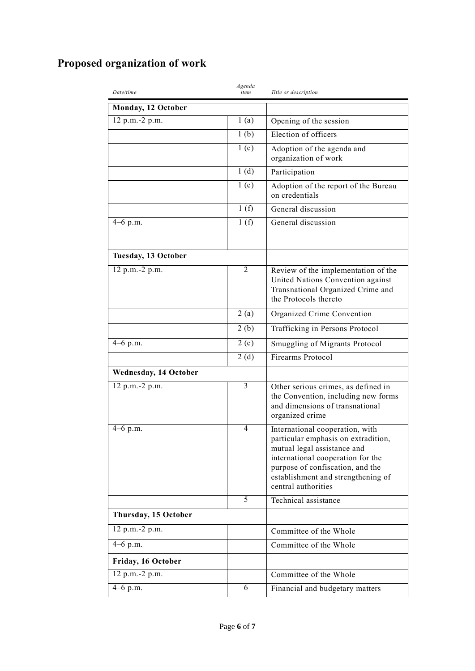# **Proposed organization of work**

| Date/time                    | Agenda<br>item   | Title or description                                                                                                                                                                                                                        |
|------------------------------|------------------|---------------------------------------------------------------------------------------------------------------------------------------------------------------------------------------------------------------------------------------------|
| Monday, 12 October           |                  |                                                                                                                                                                                                                                             |
| 12 p.m.-2 p.m.               | 1(a)             | Opening of the session                                                                                                                                                                                                                      |
|                              | 1 <sub>(b)</sub> | Election of officers                                                                                                                                                                                                                        |
|                              | 1(c)             | Adoption of the agenda and<br>organization of work                                                                                                                                                                                          |
|                              | 1(d)             | Participation                                                                                                                                                                                                                               |
|                              | 1(e)             | Adoption of the report of the Bureau<br>on credentials                                                                                                                                                                                      |
|                              | 1(f)             | General discussion                                                                                                                                                                                                                          |
| $\frac{4}{4}$ –6 p.m.        | 1(f)             | General discussion                                                                                                                                                                                                                          |
| Tuesday, 13 October          |                  |                                                                                                                                                                                                                                             |
| 12 p.m.-2 p.m.               | 2                | Review of the implementation of the<br>United Nations Convention against<br>Transnational Organized Crime and<br>the Protocols thereto                                                                                                      |
|                              | 2(a)             | Organized Crime Convention                                                                                                                                                                                                                  |
|                              | 2(b)             | Trafficking in Persons Protocol                                                                                                                                                                                                             |
| 4-6 p.m.                     | 2(c)             | Smuggling of Migrants Protocol                                                                                                                                                                                                              |
|                              | 2(d)             | Firearms Protocol                                                                                                                                                                                                                           |
| <b>Wednesday, 14 October</b> |                  |                                                                                                                                                                                                                                             |
| $\overline{12}$ p.m.-2 p.m.  | 3                | Other serious crimes, as defined in<br>the Convention, including new forms<br>and dimensions of transnational<br>organized crime                                                                                                            |
| $4-6$ p.m.                   | $\overline{4}$   | International cooperation, with<br>particular emphasis on extradition,<br>mutual legal assistance and<br>international cooperation for the<br>purpose of confiscation, and the<br>establishment and strengthening of<br>central authorities |
|                              | 5                | Technical assistance                                                                                                                                                                                                                        |
| Thursday, 15 October         |                  |                                                                                                                                                                                                                                             |
| 12 p.m.-2 p.m.               |                  | Committee of the Whole                                                                                                                                                                                                                      |
| $4-6$ p.m.                   |                  | Committee of the Whole                                                                                                                                                                                                                      |
| Friday, 16 October           |                  |                                                                                                                                                                                                                                             |
| 12 p.m.-2 p.m.               |                  | Committee of the Whole                                                                                                                                                                                                                      |
| $4-6$ p.m.                   | 6                | Financial and budgetary matters                                                                                                                                                                                                             |